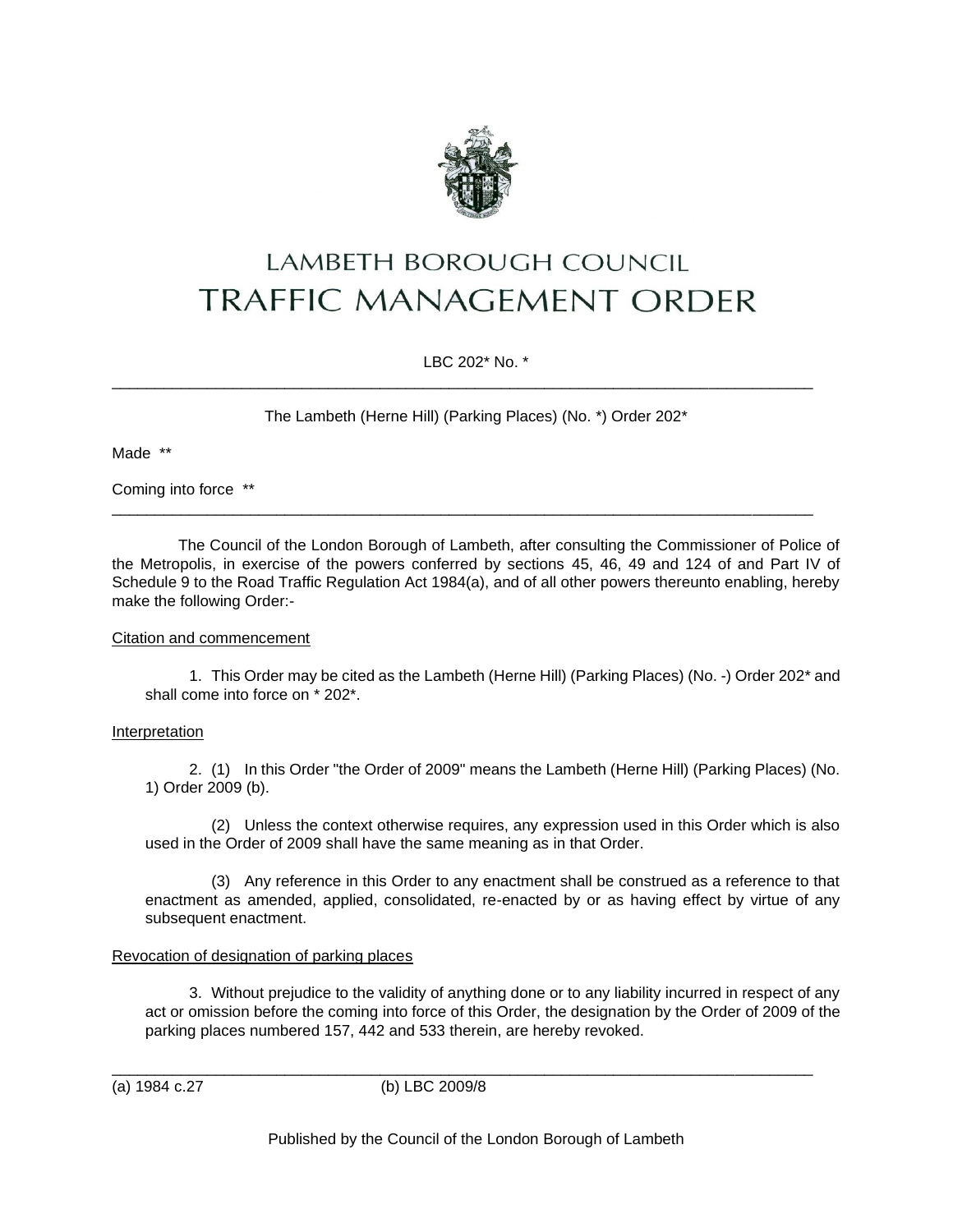

# LAMBETH BOROUGH COUNCIL **TRAFFIC MANAGEMENT ORDER**

LBC 202\* No. \*

\_\_\_\_\_\_\_\_\_\_\_\_\_\_\_\_\_\_\_\_\_\_\_\_\_\_\_\_\_\_\_\_\_\_\_\_\_\_\_\_\_\_\_\_\_\_\_\_\_\_\_\_\_\_\_\_\_\_\_\_\_\_\_\_\_\_\_\_\_\_\_\_\_\_\_\_\_\_\_\_\_

\_\_\_\_\_\_\_\_\_\_\_\_\_\_\_\_\_\_\_\_\_\_\_\_\_\_\_\_\_\_\_\_\_\_\_\_\_\_\_\_\_\_\_\_\_\_\_\_\_\_\_\_\_\_\_\_\_\_\_\_\_\_\_\_\_\_\_\_\_\_\_\_\_\_\_\_\_\_\_\_\_

The Lambeth (Herne Hill) (Parking Places) (No. \*) Order 202\*

Made \*\*

Coming into force \*\*

The Council of the London Borough of Lambeth, after consulting the Commissioner of Police of the Metropolis, in exercise of the powers conferred by sections 45, 46, 49 and 124 of and Part IV of Schedule 9 to the Road Traffic Regulation Act 1984(a), and of all other powers thereunto enabling, hereby make the following Order:-

### Citation and commencement

1. This Order may be cited as the Lambeth (Herne Hill) (Parking Places) (No. -) Order 202\* and shall come into force on \* 202\*.

# Interpretation

2. (1) In this Order "the Order of 2009" means the Lambeth (Herne Hill) (Parking Places) (No. 1) Order 2009 (b).

(2) Unless the context otherwise requires, any expression used in this Order which is also used in the Order of 2009 shall have the same meaning as in that Order.

(3) Any reference in this Order to any enactment shall be construed as a reference to that enactment as amended, applied, consolidated, re-enacted by or as having effect by virtue of any subsequent enactment.

# Revocation of designation of parking places

3. Without prejudice to the validity of anything done or to any liability incurred in respect of any act or omission before the coming into force of this Order, the designation by the Order of 2009 of the parking places numbered 157, 442 and 533 therein, are hereby revoked.

(a) 1984 c.27 (b) LBC 2009/8

\_\_\_\_\_\_\_\_\_\_\_\_\_\_\_\_\_\_\_\_\_\_\_\_\_\_\_\_\_\_\_\_\_\_\_\_\_\_\_\_\_\_\_\_\_\_\_\_\_\_\_\_\_\_\_\_\_\_\_\_\_\_\_\_\_\_\_\_\_\_\_\_\_\_\_\_\_\_\_\_\_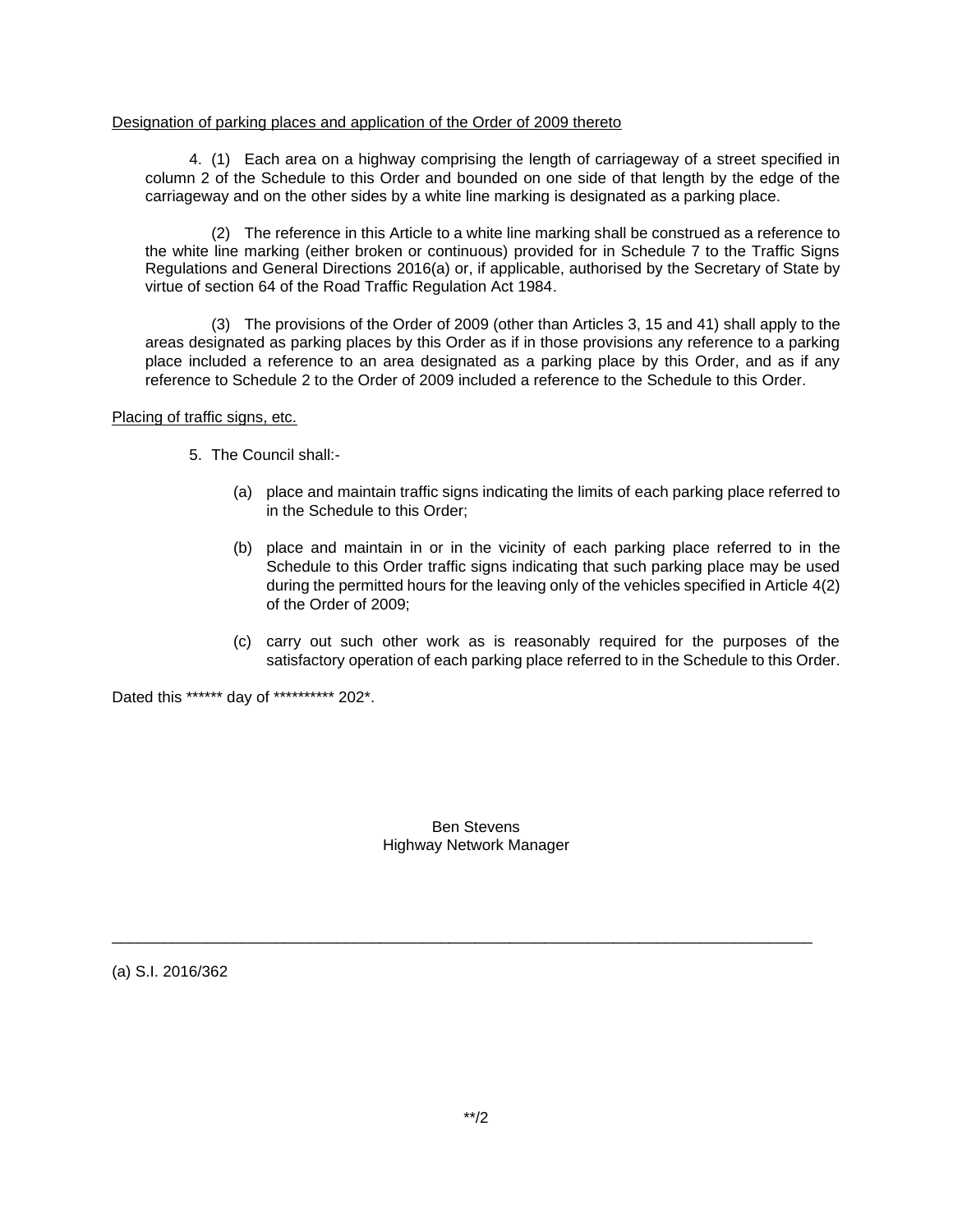#### Designation of parking places and application of the Order of 2009 thereto

4. (1) Each area on a highway comprising the length of carriageway of a street specified in column 2 of the Schedule to this Order and bounded on one side of that length by the edge of the carriageway and on the other sides by a white line marking is designated as a parking place.

(2) The reference in this Article to a white line marking shall be construed as a reference to the white line marking (either broken or continuous) provided for in Schedule 7 to the Traffic Signs Regulations and General Directions 2016(a) or, if applicable, authorised by the Secretary of State by virtue of section 64 of the Road Traffic Regulation Act 1984.

(3) The provisions of the Order of 2009 (other than Articles 3, 15 and 41) shall apply to the areas designated as parking places by this Order as if in those provisions any reference to a parking place included a reference to an area designated as a parking place by this Order, and as if any reference to Schedule 2 to the Order of 2009 included a reference to the Schedule to this Order.

Placing of traffic signs, etc.

5. The Council shall:-

- (a) place and maintain traffic signs indicating the limits of each parking place referred to in the Schedule to this Order;
- (b) place and maintain in or in the vicinity of each parking place referred to in the Schedule to this Order traffic signs indicating that such parking place may be used during the permitted hours for the leaving only of the vehicles specified in Article 4(2) of the Order of 2009;
- (c) carry out such other work as is reasonably required for the purposes of the satisfactory operation of each parking place referred to in the Schedule to this Order.

Dated this \*\*\*\*\*\* day of \*\*\*\*\*\*\*\*\*\* 202\*.

### Ben Stevens Highway Network Manager

\_\_\_\_\_\_\_\_\_\_\_\_\_\_\_\_\_\_\_\_\_\_\_\_\_\_\_\_\_\_\_\_\_\_\_\_\_\_\_\_\_\_\_\_\_\_\_\_\_\_\_\_\_\_\_\_\_\_\_\_\_\_\_\_\_\_\_\_\_\_\_\_\_\_\_\_\_\_\_\_\_

(a) S.I. 2016/362